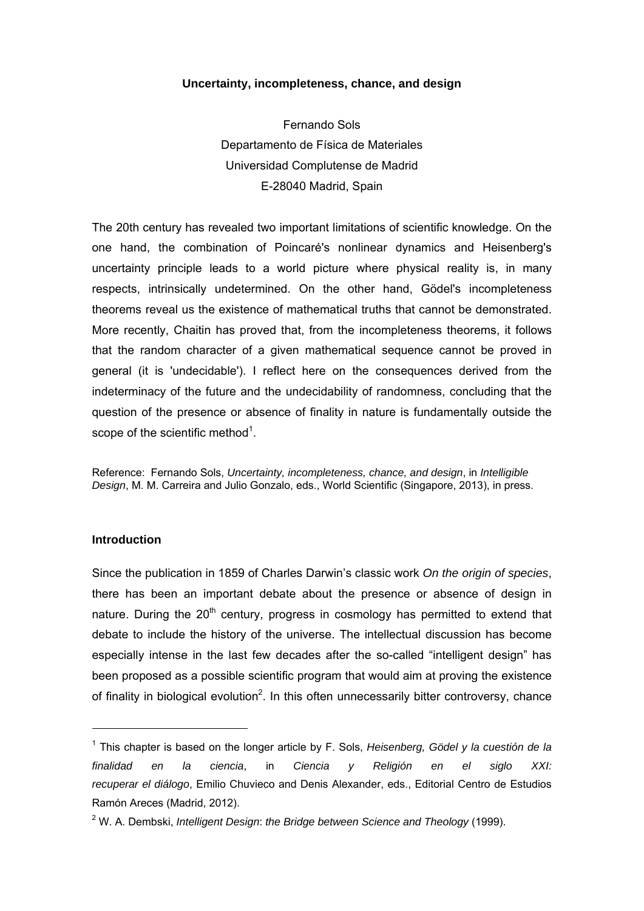### **Uncertainty, incompleteness, chance, and design**

Fernando Sols Departamento de Física de Materiales Universidad Complutense de Madrid E-28040 Madrid, Spain

The 20th century has revealed two important limitations of scientific knowledge. On the one hand, the combination of Poincaré's nonlinear dynamics and Heisenberg's uncertainty principle leads to a world picture where physical reality is, in many respects, intrinsically undetermined. On the other hand, Gödel's incompleteness theorems reveal us the existence of mathematical truths that cannot be demonstrated. More recently, Chaitin has proved that, from the incompleteness theorems, it follows that the random character of a given mathematical sequence cannot be proved in general (it is 'undecidable'). I reflect here on the consequences derived from the indeterminacy of the future and the undecidability of randomness, concluding that the question of the presence or absence of finality in nature is fundamentally outside the scope of the scientific method $1$ .

Reference: Fernando Sols, *Uncertainty, incompleteness, chance, and design*, in *Intelligible Design*, M. M. Carreira and Julio Gonzalo, eds., World Scientific (Singapore, 2013), in press.

# **Introduction**

 $\overline{a}$ 

Since the publication in 1859 of Charles Darwin's classic work *On the origin of species*, there has been an important debate about the presence or absence of design in nature. During the 20<sup>th</sup> century, progress in cosmology has permitted to extend that debate to include the history of the universe. The intellectual discussion has become especially intense in the last few decades after the so-called "intelligent design" has been proposed as a possible scientific program that would aim at proving the existence of finality in biological evolution<sup>2</sup>. In this often unnecessarily bitter controversy, chance

<sup>1</sup> This chapter is based on the longer article by F. Sols, *Heisenberg, Gödel y la cuestión de la finalidad en la ciencia*, in *Ciencia y Religión en el siglo XXI: recuperar el diálogo*, Emilio Chuvieco and Denis Alexander, eds., Editorial Centro de Estudios Ramón Areces (Madrid, 2012).

<sup>2</sup> W. A. Dembski, *Intelligent Design*: *the Bridge between Science and Theology* (1999).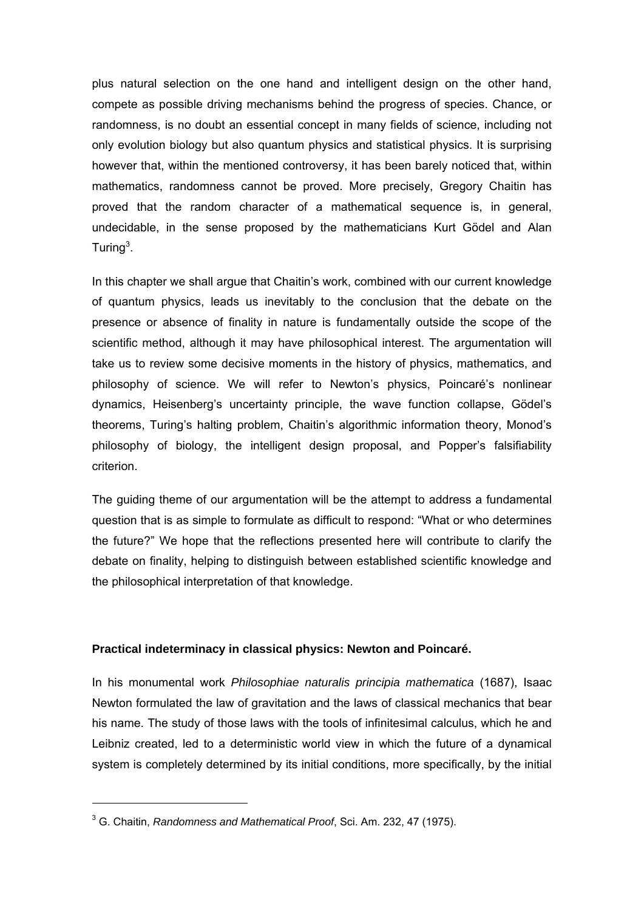plus natural selection on the one hand and intelligent design on the other hand, compete as possible driving mechanisms behind the progress of species. Chance, or randomness, is no doubt an essential concept in many fields of science, including not only evolution biology but also quantum physics and statistical physics. It is surprising however that, within the mentioned controversy, it has been barely noticed that, within mathematics, randomness cannot be proved. More precisely, Gregory Chaitin has proved that the random character of a mathematical sequence is, in general, undecidable, in the sense proposed by the mathematicians Kurt Gödel and Alan Turing<sup>3</sup>.

In this chapter we shall argue that Chaitin's work, combined with our current knowledge of quantum physics, leads us inevitably to the conclusion that the debate on the presence or absence of finality in nature is fundamentally outside the scope of the scientific method, although it may have philosophical interest. The argumentation will take us to review some decisive moments in the history of physics, mathematics, and philosophy of science. We will refer to Newton's physics, Poincaré's nonlinear dynamics, Heisenberg's uncertainty principle, the wave function collapse, Gödel's theorems, Turing's halting problem, Chaitin's algorithmic information theory, Monod's philosophy of biology, the intelligent design proposal, and Popper's falsifiability criterion.

The guiding theme of our argumentation will be the attempt to address a fundamental question that is as simple to formulate as difficult to respond: "What or who determines the future?" We hope that the reflections presented here will contribute to clarify the debate on finality, helping to distinguish between established scientific knowledge and the philosophical interpretation of that knowledge.

# **Practical indeterminacy in classical physics: Newton and Poincaré.**

In his monumental work *Philosophiae naturalis principia mathematica* (1687), Isaac Newton formulated the law of gravitation and the laws of classical mechanics that bear his name. The study of those laws with the tools of infinitesimal calculus, which he and Leibniz created, led to a deterministic world view in which the future of a dynamical system is completely determined by its initial conditions, more specifically, by the initial

<sup>3</sup> G. Chaitin, *Randomness and Mathematical Proof*, Sci. Am. 232, 47 (1975).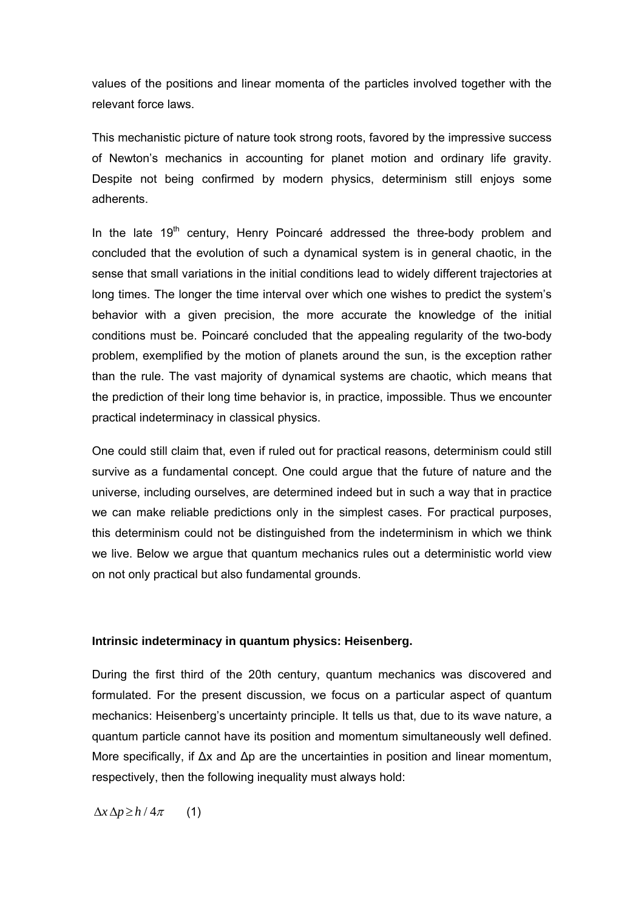values of the positions and linear momenta of the particles involved together with the relevant force laws.

This mechanistic picture of nature took strong roots, favored by the impressive success of Newton's mechanics in accounting for planet motion and ordinary life gravity. Despite not being confirmed by modern physics, determinism still enjoys some adherents.

In the late  $19<sup>th</sup>$  century, Henry Poincaré addressed the three-body problem and concluded that the evolution of such a dynamical system is in general chaotic, in the sense that small variations in the initial conditions lead to widely different trajectories at long times. The longer the time interval over which one wishes to predict the system's behavior with a given precision, the more accurate the knowledge of the initial conditions must be. Poincaré concluded that the appealing regularity of the two-body problem, exemplified by the motion of planets around the sun, is the exception rather than the rule. The vast majority of dynamical systems are chaotic, which means that the prediction of their long time behavior is, in practice, impossible. Thus we encounter practical indeterminacy in classical physics.

One could still claim that, even if ruled out for practical reasons, determinism could still survive as a fundamental concept. One could argue that the future of nature and the universe, including ourselves, are determined indeed but in such a way that in practice we can make reliable predictions only in the simplest cases. For practical purposes, this determinism could not be distinguished from the indeterminism in which we think we live. Below we argue that quantum mechanics rules out a deterministic world view on not only practical but also fundamental grounds.

# **Intrinsic indeterminacy in quantum physics: Heisenberg.**

During the first third of the 20th century, quantum mechanics was discovered and formulated. For the present discussion, we focus on a particular aspect of quantum mechanics: Heisenberg's uncertainty principle. It tells us that, due to its wave nature, a quantum particle cannot have its position and momentum simultaneously well defined. More specifically, if ∆x and ∆p are the uncertainties in position and linear momentum, respectively, then the following inequality must always hold:

 $\Delta x \Delta p \ge h / 4\pi$  (1)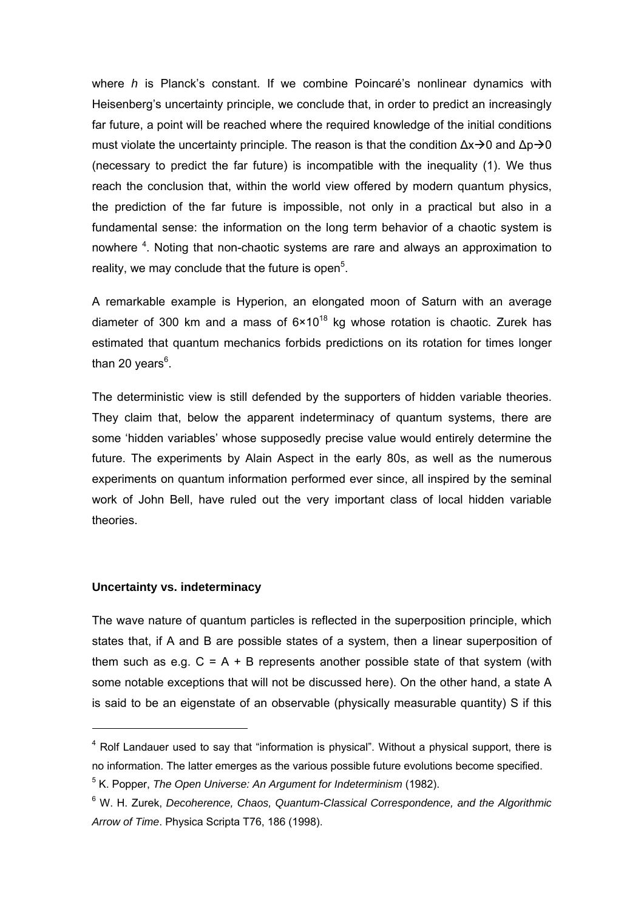where *h* is Planck's constant. If we combine Poincaré's nonlinear dynamics with Heisenberg's uncertainty principle, we conclude that, in order to predict an increasingly far future, a point will be reached where the required knowledge of the initial conditions must violate the uncertainty principle. The reason is that the condition  $\Delta x\rightarrow0$  and  $\Delta p\rightarrow0$ (necessary to predict the far future) is incompatible with the inequality (1). We thus reach the conclusion that, within the world view offered by modern quantum physics, the prediction of the far future is impossible, not only in a practical but also in a fundamental sense: the information on the long term behavior of a chaotic system is nowhere <sup>4</sup>. Noting that non-chaotic systems are rare and always an approximation to reality, we may conclude that the future is open<sup>5</sup>.

A remarkable example is Hyperion, an elongated moon of Saturn with an average diameter of 300 km and a mass of  $6 \times 10^{18}$  kg whose rotation is chaotic. Zurek has estimated that quantum mechanics forbids predictions on its rotation for times longer than 20 years<sup>6</sup>.

The deterministic view is still defended by the supporters of hidden variable theories. They claim that, below the apparent indeterminacy of quantum systems, there are some 'hidden variables' whose supposedly precise value would entirely determine the future. The experiments by Alain Aspect in the early 80s, as well as the numerous experiments on quantum information performed ever since, all inspired by the seminal work of John Bell, have ruled out the very important class of local hidden variable theories.

# **Uncertainty vs. indeterminacy**

 $\overline{a}$ 

The wave nature of quantum particles is reflected in the superposition principle, which states that, if A and B are possible states of a system, then a linear superposition of them such as e.g.  $C = A + B$  represents another possible state of that system (with some notable exceptions that will not be discussed here). On the other hand, a state A is said to be an eigenstate of an observable (physically measurable quantity) S if this

<sup>&</sup>lt;sup>4</sup> Rolf Landauer used to say that "information is physical". Without a physical support, there is no information. The latter emerges as the various possible future evolutions become specified.

<sup>5</sup> K. Popper, *The Open Universe: An Argument for Indeterminism* (1982).

<sup>&</sup>lt;sup>6</sup> W. H. Zurek, Decoherence, Chaos, Quantum-Classical Correspondence, and the Algorithmic *Arrow of Time*. Physica Scripta T76, 186 (1998).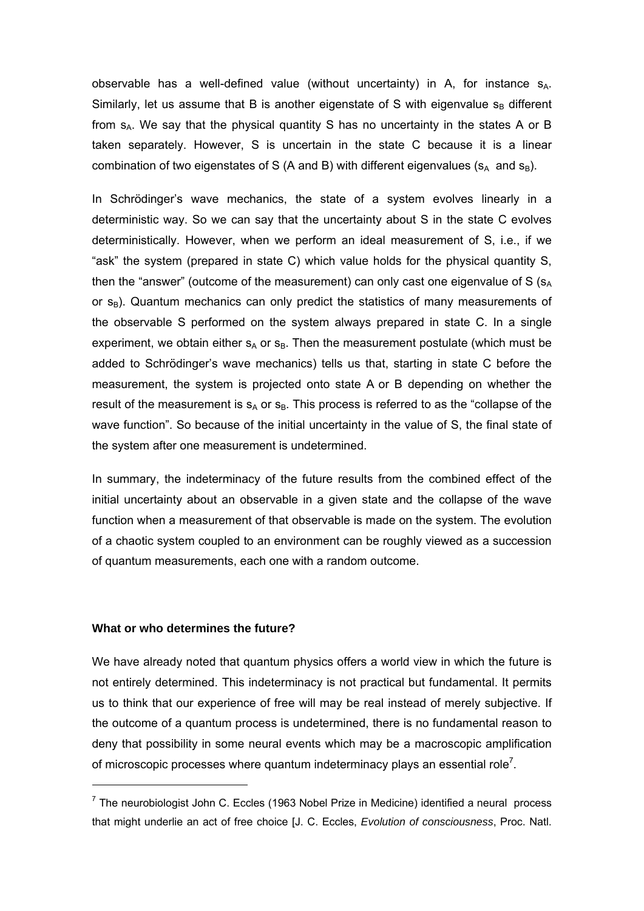observable has a well-defined value (without uncertainty) in A, for instance  $s_A$ . Similarly, let us assume that B is another eigenstate of S with eigenvalue  $s_B$  different from  $s_A$ . We say that the physical quantity S has no uncertainty in the states A or B taken separately. However, S is uncertain in the state C because it is a linear combination of two eigenstates of S (A and B) with different eigenvalues ( $s_A$  and  $s_B$ ).

In Schrödinger's wave mechanics, the state of a system evolves linearly in a deterministic way. So we can say that the uncertainty about S in the state C evolves deterministically. However, when we perform an ideal measurement of S, i.e., if we "ask" the system (prepared in state C) which value holds for the physical quantity S, then the "answer" (outcome of the measurement) can only cast one eigenvalue of S  $(s_A)$ or  $s_B$ ). Quantum mechanics can only predict the statistics of many measurements of the observable S performed on the system always prepared in state C. In a single experiment, we obtain either  $s_A$  or  $s_B$ . Then the measurement postulate (which must be added to Schrödinger's wave mechanics) tells us that, starting in state C before the measurement, the system is projected onto state A or B depending on whether the result of the measurement is  $s_A$  or  $s_B$ . This process is referred to as the "collapse of the wave function". So because of the initial uncertainty in the value of S, the final state of the system after one measurement is undetermined.

In summary, the indeterminacy of the future results from the combined effect of the initial uncertainty about an observable in a given state and the collapse of the wave function when a measurement of that observable is made on the system. The evolution of a chaotic system coupled to an environment can be roughly viewed as a succession of quantum measurements, each one with a random outcome.

### **What or who determines the future?**

-

We have already noted that quantum physics offers a world view in which the future is not entirely determined. This indeterminacy is not practical but fundamental. It permits us to think that our experience of free will may be real instead of merely subjective. If the outcome of a quantum process is undetermined, there is no fundamental reason to deny that possibility in some neural events which may be a macroscopic amplification of microscopic processes where quantum indeterminacy plays an essential role<sup>7</sup>.

 $7$  The neurobiologist John C. Eccles (1963 Nobel Prize in Medicine) identified a neural process that might underlie an act of free choice [J. C. Eccles, *Evolution of consciousness*, Proc. Natl.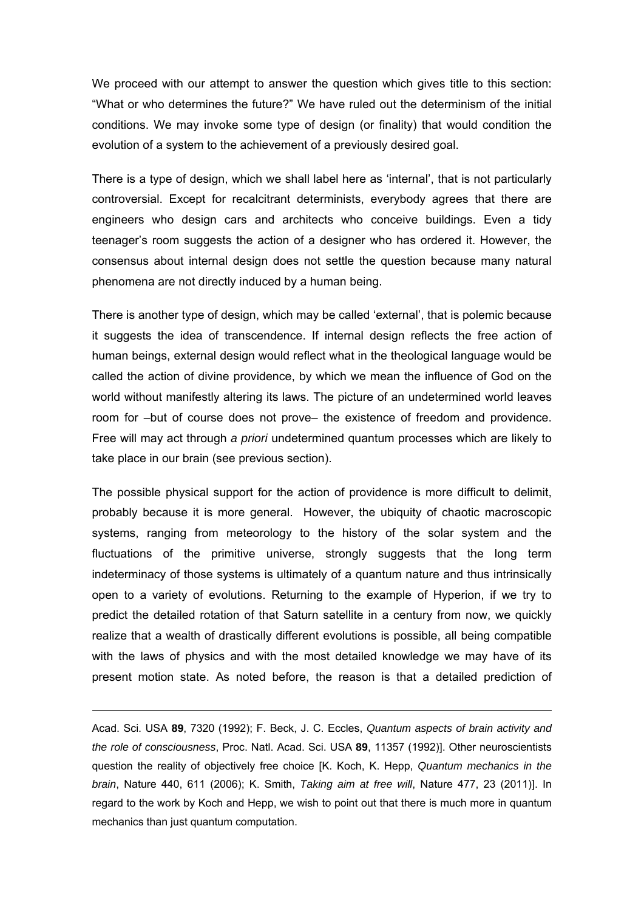We proceed with our attempt to answer the question which gives title to this section: "What or who determines the future?" We have ruled out the determinism of the initial conditions. We may invoke some type of design (or finality) that would condition the evolution of a system to the achievement of a previously desired goal.

There is a type of design, which we shall label here as 'internal', that is not particularly controversial. Except for recalcitrant determinists, everybody agrees that there are engineers who design cars and architects who conceive buildings. Even a tidy teenager's room suggests the action of a designer who has ordered it. However, the consensus about internal design does not settle the question because many natural phenomena are not directly induced by a human being.

There is another type of design, which may be called 'external', that is polemic because it suggests the idea of transcendence. If internal design reflects the free action of human beings, external design would reflect what in the theological language would be called the action of divine providence, by which we mean the influence of God on the world without manifestly altering its laws. The picture of an undetermined world leaves room for –but of course does not prove– the existence of freedom and providence. Free will may act through *a priori* undetermined quantum processes which are likely to take place in our brain (see previous section).

The possible physical support for the action of providence is more difficult to delimit, probably because it is more general. However, the ubiquity of chaotic macroscopic systems, ranging from meteorology to the history of the solar system and the fluctuations of the primitive universe, strongly suggests that the long term indeterminacy of those systems is ultimately of a quantum nature and thus intrinsically open to a variety of evolutions. Returning to the example of Hyperion, if we try to predict the detailed rotation of that Saturn satellite in a century from now, we quickly realize that a wealth of drastically different evolutions is possible, all being compatible with the laws of physics and with the most detailed knowledge we may have of its present motion state. As noted before, the reason is that a detailed prediction of

Acad. Sci. USA **89**, 7320 (1992); F. Beck, J. C. Eccles, *Quantum aspects of brain activity and the role of consciousness*, Proc. Natl. Acad. Sci. USA **89**, 11357 (1992)]. Other neuroscientists question the reality of objectively free choice [K. Koch, K. Hepp, *Quantum mechanics in the brain*, Nature 440, 611 (2006); K. Smith, *Taking aim at free will*, Nature 477, 23 (2011)]. In regard to the work by Koch and Hepp, we wish to point out that there is much more in quantum mechanics than just quantum computation.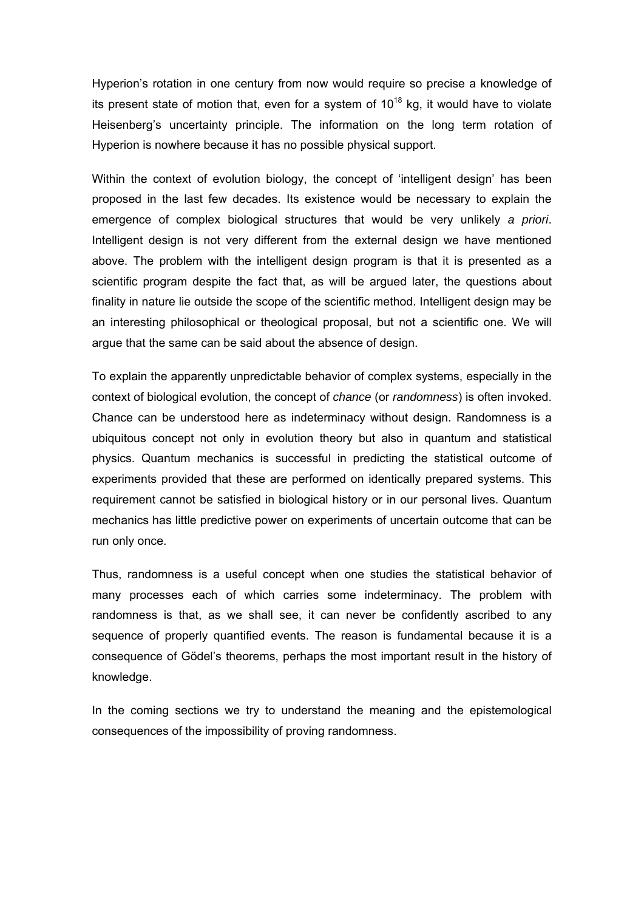Hyperion's rotation in one century from now would require so precise a knowledge of its present state of motion that, even for a system of  $10^{18}$  kg, it would have to violate Heisenberg's uncertainty principle. The information on the long term rotation of Hyperion is nowhere because it has no possible physical support.

Within the context of evolution biology, the concept of 'intelligent design' has been proposed in the last few decades. Its existence would be necessary to explain the emergence of complex biological structures that would be very unlikely *a priori*. Intelligent design is not very different from the external design we have mentioned above. The problem with the intelligent design program is that it is presented as a scientific program despite the fact that, as will be argued later, the questions about finality in nature lie outside the scope of the scientific method. Intelligent design may be an interesting philosophical or theological proposal, but not a scientific one. We will argue that the same can be said about the absence of design.

To explain the apparently unpredictable behavior of complex systems, especially in the context of biological evolution, the concept of *chance* (or *randomness*) is often invoked. Chance can be understood here as indeterminacy without design. Randomness is a ubiquitous concept not only in evolution theory but also in quantum and statistical physics. Quantum mechanics is successful in predicting the statistical outcome of experiments provided that these are performed on identically prepared systems. This requirement cannot be satisfied in biological history or in our personal lives. Quantum mechanics has little predictive power on experiments of uncertain outcome that can be run only once.

Thus, randomness is a useful concept when one studies the statistical behavior of many processes each of which carries some indeterminacy. The problem with randomness is that, as we shall see, it can never be confidently ascribed to any sequence of properly quantified events. The reason is fundamental because it is a consequence of Gödel's theorems, perhaps the most important result in the history of knowledge.

In the coming sections we try to understand the meaning and the epistemological consequences of the impossibility of proving randomness.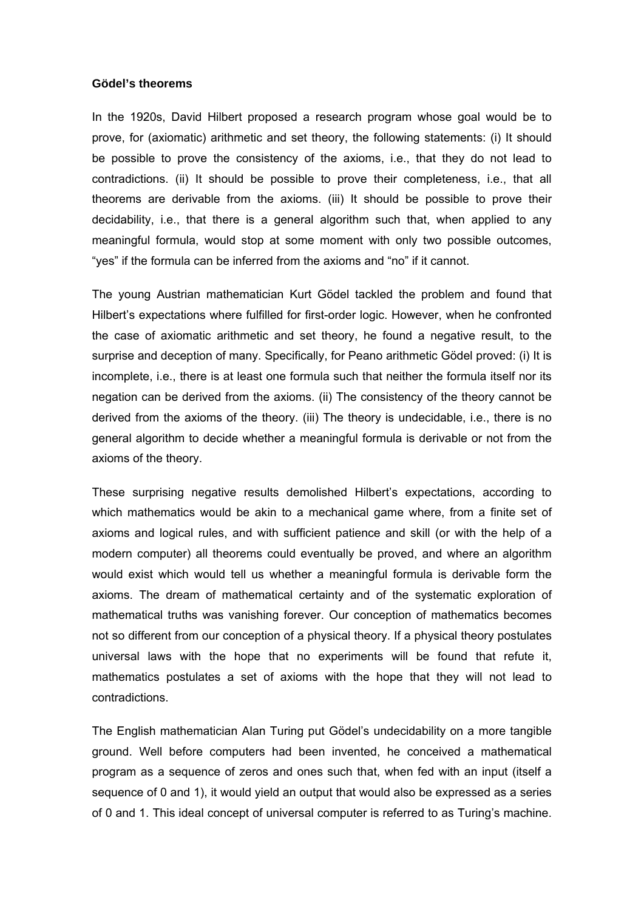### **Gödel's theorems**

In the 1920s, David Hilbert proposed a research program whose goal would be to prove, for (axiomatic) arithmetic and set theory, the following statements: (i) It should be possible to prove the consistency of the axioms, i.e., that they do not lead to contradictions. (ii) It should be possible to prove their completeness, i.e., that all theorems are derivable from the axioms. (iii) It should be possible to prove their decidability, i.e., that there is a general algorithm such that, when applied to any meaningful formula, would stop at some moment with only two possible outcomes, "yes" if the formula can be inferred from the axioms and "no" if it cannot.

The young Austrian mathematician Kurt Gödel tackled the problem and found that Hilbert's expectations where fulfilled for first-order logic. However, when he confronted the case of axiomatic arithmetic and set theory, he found a negative result, to the surprise and deception of many. Specifically, for Peano arithmetic Gödel proved: (i) It is incomplete, i.e., there is at least one formula such that neither the formula itself nor its negation can be derived from the axioms. (ii) The consistency of the theory cannot be derived from the axioms of the theory. (iii) The theory is undecidable, i.e., there is no general algorithm to decide whether a meaningful formula is derivable or not from the axioms of the theory.

These surprising negative results demolished Hilbert's expectations, according to which mathematics would be akin to a mechanical game where, from a finite set of axioms and logical rules, and with sufficient patience and skill (or with the help of a modern computer) all theorems could eventually be proved, and where an algorithm would exist which would tell us whether a meaningful formula is derivable form the axioms. The dream of mathematical certainty and of the systematic exploration of mathematical truths was vanishing forever. Our conception of mathematics becomes not so different from our conception of a physical theory. If a physical theory postulates universal laws with the hope that no experiments will be found that refute it, mathematics postulates a set of axioms with the hope that they will not lead to contradictions.

The English mathematician Alan Turing put Gödel's undecidability on a more tangible ground. Well before computers had been invented, he conceived a mathematical program as a sequence of zeros and ones such that, when fed with an input (itself a sequence of 0 and 1), it would yield an output that would also be expressed as a series of 0 and 1. This ideal concept of universal computer is referred to as Turing's machine.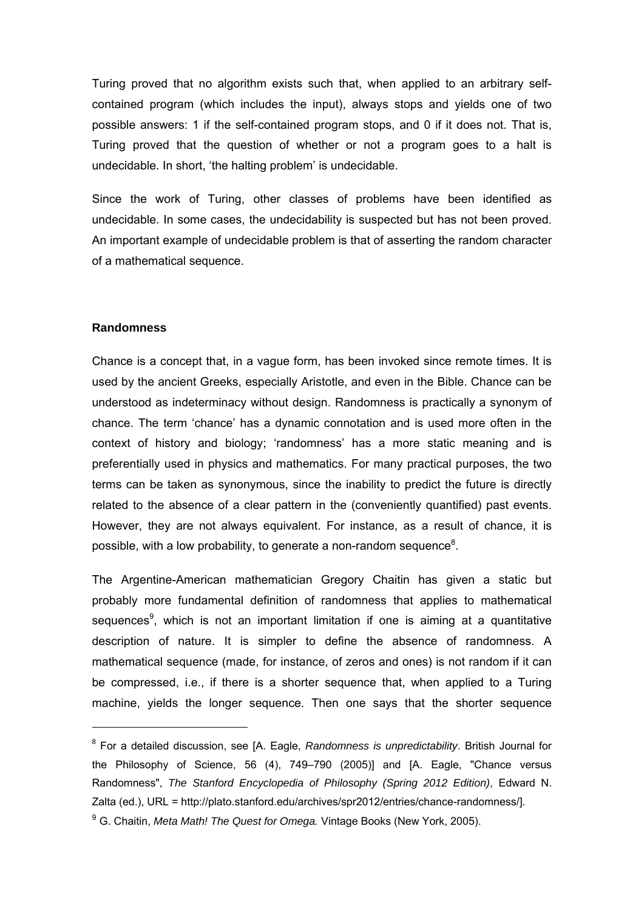Turing proved that no algorithm exists such that, when applied to an arbitrary selfcontained program (which includes the input), always stops and yields one of two possible answers: 1 if the self-contained program stops, and 0 if it does not. That is, Turing proved that the question of whether or not a program goes to a halt is undecidable. In short, 'the halting problem' is undecidable.

Since the work of Turing, other classes of problems have been identified as undecidable. In some cases, the undecidability is suspected but has not been proved. An important example of undecidable problem is that of asserting the random character of a mathematical sequence.

### **Randomness**

 $\overline{a}$ 

Chance is a concept that, in a vague form, has been invoked since remote times. It is used by the ancient Greeks, especially Aristotle, and even in the Bible. Chance can be understood as indeterminacy without design. Randomness is practically a synonym of chance. The term 'chance' has a dynamic connotation and is used more often in the context of history and biology; 'randomness' has a more static meaning and is preferentially used in physics and mathematics. For many practical purposes, the two terms can be taken as synonymous, since the inability to predict the future is directly related to the absence of a clear pattern in the (conveniently quantified) past events. However, they are not always equivalent. For instance, as a result of chance, it is possible, with a low probability, to generate a non-random sequence<sup>8</sup>.

The Argentine-American mathematician Gregory Chaitin has given a static but probably more fundamental definition of randomness that applies to mathematical sequences<sup>9</sup>, which is not an important limitation if one is aiming at a quantitative description of nature. It is simpler to define the absence of randomness. A mathematical sequence (made, for instance, of zeros and ones) is not random if it can be compressed, i.e., if there is a shorter sequence that, when applied to a Turing machine, yields the longer sequence. Then one says that the shorter sequence

<sup>8</sup> For a detailed discussion, see [A. Eagle, *Randomness is unpredictability*. British Journal for the Philosophy of Science, 56 (4), 749–790 (2005)] and [A. Eagle, "Chance versus Randomness", *The Stanford Encyclopedia of Philosophy (Spring 2012 Edition)*, Edward N. Zalta (ed.), URL = http://plato.stanford.edu/archives/spr2012/entries/chance-randomness/].

<sup>9</sup> G. Chaitin, *Meta Math! The Quest for Omega.* Vintage Books (New York, 2005).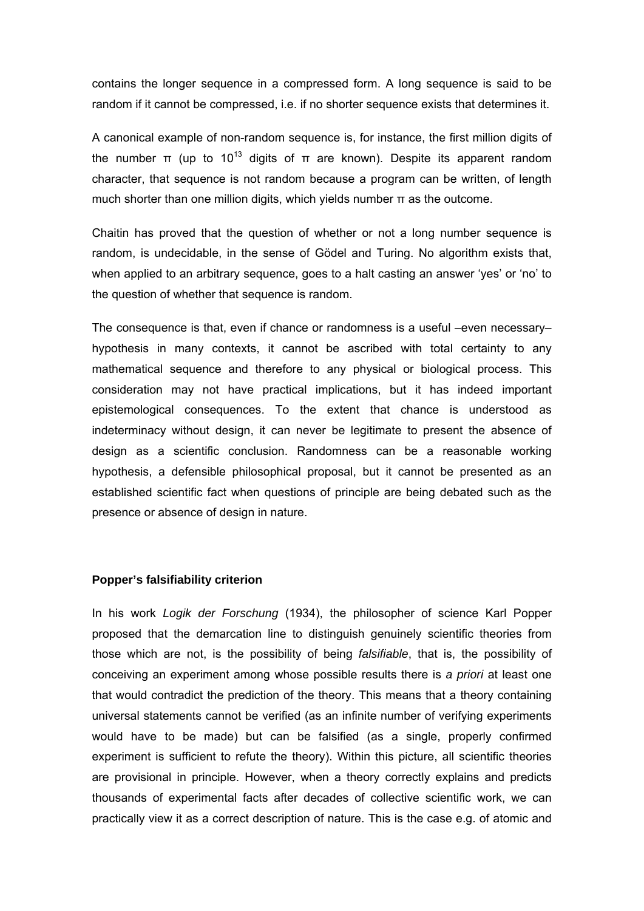contains the longer sequence in a compressed form. A long sequence is said to be random if it cannot be compressed, i.e. if no shorter sequence exists that determines it.

A canonical example of non-random sequence is, for instance, the first million digits of the number  $\pi$  (up to 10<sup>13</sup> digits of  $\pi$  are known). Despite its apparent random character, that sequence is not random because a program can be written, of length much shorter than one million digits, which yields number  $\pi$  as the outcome.

Chaitin has proved that the question of whether or not a long number sequence is random, is undecidable, in the sense of Gödel and Turing. No algorithm exists that, when applied to an arbitrary sequence, goes to a halt casting an answer 'yes' or 'no' to the question of whether that sequence is random.

The consequence is that, even if chance or randomness is a useful –even necessary– hypothesis in many contexts, it cannot be ascribed with total certainty to any mathematical sequence and therefore to any physical or biological process. This consideration may not have practical implications, but it has indeed important epistemological consequences. To the extent that chance is understood as indeterminacy without design, it can never be legitimate to present the absence of design as a scientific conclusion. Randomness can be a reasonable working hypothesis, a defensible philosophical proposal, but it cannot be presented as an established scientific fact when questions of principle are being debated such as the presence or absence of design in nature.

### **Popper's falsifiability criterion**

In his work *Logik der Forschung* (1934), the philosopher of science Karl Popper proposed that the demarcation line to distinguish genuinely scientific theories from those which are not, is the possibility of being *falsifiable*, that is, the possibility of conceiving an experiment among whose possible results there is *a priori* at least one that would contradict the prediction of the theory. This means that a theory containing universal statements cannot be verified (as an infinite number of verifying experiments would have to be made) but can be falsified (as a single, properly confirmed experiment is sufficient to refute the theory). Within this picture, all scientific theories are provisional in principle. However, when a theory correctly explains and predicts thousands of experimental facts after decades of collective scientific work, we can practically view it as a correct description of nature. This is the case e.g. of atomic and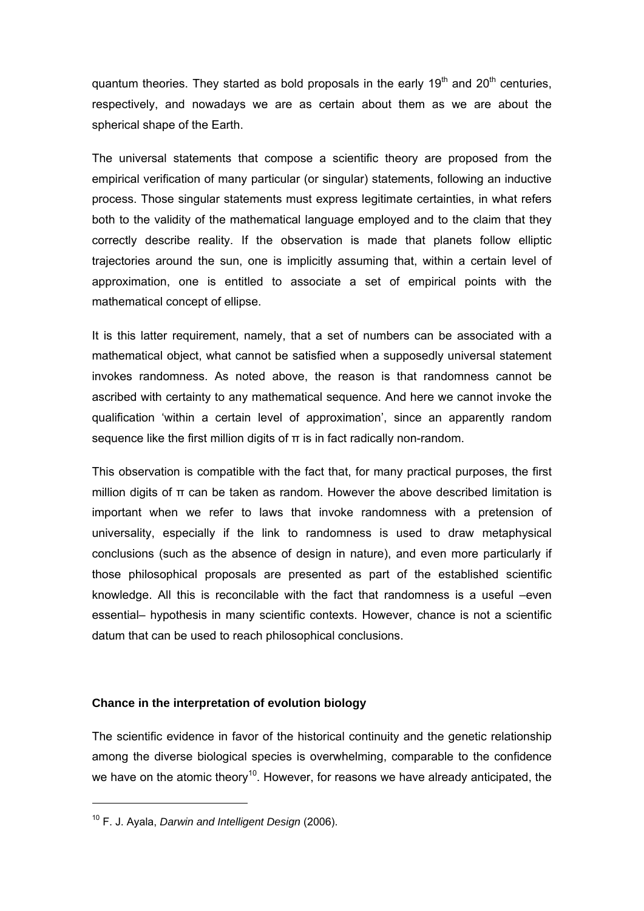quantum theories. They started as bold proposals in the early  $19<sup>th</sup>$  and  $20<sup>th</sup>$  centuries, respectively, and nowadays we are as certain about them as we are about the spherical shape of the Earth.

The universal statements that compose a scientific theory are proposed from the empirical verification of many particular (or singular) statements, following an inductive process. Those singular statements must express legitimate certainties, in what refers both to the validity of the mathematical language employed and to the claim that they correctly describe reality. If the observation is made that planets follow elliptic trajectories around the sun, one is implicitly assuming that, within a certain level of approximation, one is entitled to associate a set of empirical points with the mathematical concept of ellipse.

It is this latter requirement, namely, that a set of numbers can be associated with a mathematical object, what cannot be satisfied when a supposedly universal statement invokes randomness. As noted above, the reason is that randomness cannot be ascribed with certainty to any mathematical sequence. And here we cannot invoke the qualification 'within a certain level of approximation', since an apparently random sequence like the first million digits of  $\pi$  is in fact radically non-random.

This observation is compatible with the fact that, for many practical purposes, the first million digits of π can be taken as random. However the above described limitation is important when we refer to laws that invoke randomness with a pretension of universality, especially if the link to randomness is used to draw metaphysical conclusions (such as the absence of design in nature), and even more particularly if those philosophical proposals are presented as part of the established scientific knowledge. All this is reconcilable with the fact that randomness is a useful –even essential– hypothesis in many scientific contexts. However, chance is not a scientific datum that can be used to reach philosophical conclusions.

# **Chance in the interpretation of evolution biology**

The scientific evidence in favor of the historical continuity and the genetic relationship among the diverse biological species is overwhelming, comparable to the confidence we have on the atomic theory<sup>10</sup>. However, for reasons we have already anticipated, the

<sup>10</sup> F. J. Ayala, *Darwin and Intelligent Design* (2006).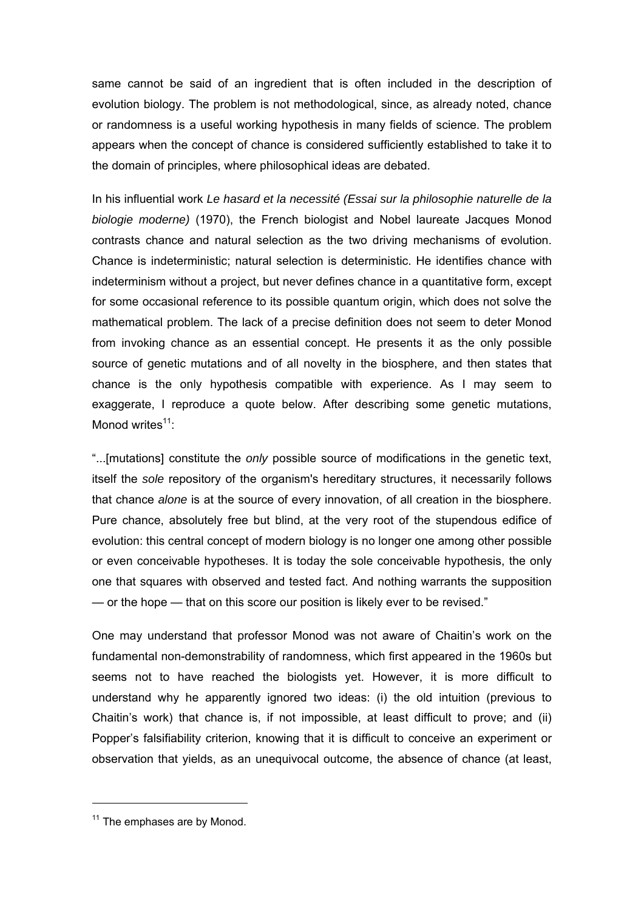same cannot be said of an ingredient that is often included in the description of evolution biology. The problem is not methodological, since, as already noted, chance or randomness is a useful working hypothesis in many fields of science. The problem appears when the concept of chance is considered sufficiently established to take it to the domain of principles, where philosophical ideas are debated.

In his influential work *Le hasard et la necessité (Essai sur la philosophie naturelle de la biologie moderne)* (1970), the French biologist and Nobel laureate Jacques Monod contrasts chance and natural selection as the two driving mechanisms of evolution. Chance is indeterministic; natural selection is deterministic. He identifies chance with indeterminism without a project, but never defines chance in a quantitative form, except for some occasional reference to its possible quantum origin, which does not solve the mathematical problem. The lack of a precise definition does not seem to deter Monod from invoking chance as an essential concept. He presents it as the only possible source of genetic mutations and of all novelty in the biosphere, and then states that chance is the only hypothesis compatible with experience. As I may seem to exaggerate, I reproduce a quote below. After describing some genetic mutations, Monod writes $11$ :

"...[mutations] constitute the *only* possible source of modifications in the genetic text, itself the *sole* repository of the organism's hereditary structures, it necessarily follows that chance *alone* is at the source of every innovation, of all creation in the biosphere. Pure chance, absolutely free but blind, at the very root of the stupendous edifice of evolution: this central concept of modern biology is no longer one among other possible or even conceivable hypotheses. It is today the sole conceivable hypothesis, the only one that squares with observed and tested fact. And nothing warrants the supposition — or the hope — that on this score our position is likely ever to be revised."

One may understand that professor Monod was not aware of Chaitin's work on the fundamental non-demonstrability of randomness, which first appeared in the 1960s but seems not to have reached the biologists yet. However, it is more difficult to understand why he apparently ignored two ideas: (i) the old intuition (previous to Chaitin's work) that chance is, if not impossible, at least difficult to prove; and (ii) Popper's falsifiability criterion, knowing that it is difficult to conceive an experiment or observation that yields, as an unequivocal outcome, the absence of chance (at least,

 $11$  The emphases are by Monod.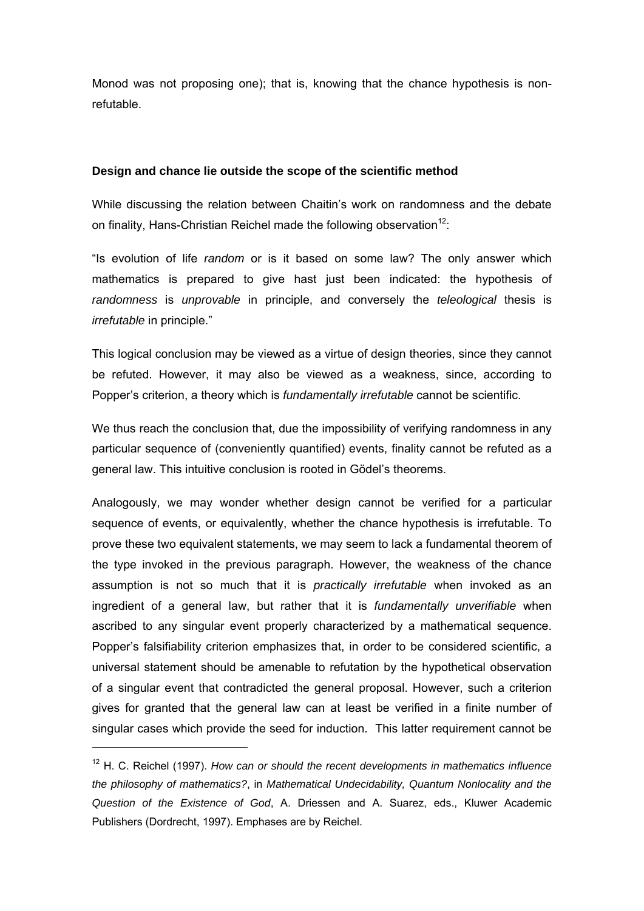Monod was not proposing one); that is, knowing that the chance hypothesis is nonrefutable.

### **Design and chance lie outside the scope of the scientific method**

While discussing the relation between Chaitin's work on randomness and the debate on finality, Hans-Christian Reichel made the following observation $12$ :

"Is evolution of life *random* or is it based on some law? The only answer which mathematics is prepared to give hast just been indicated: the hypothesis of *randomness* is *unprovable* in principle, and conversely the *teleological* thesis is *irrefutable* in principle."

This logical conclusion may be viewed as a virtue of design theories, since they cannot be refuted. However, it may also be viewed as a weakness, since, according to Popper's criterion, a theory which is *fundamentally irrefutable* cannot be scientific.

We thus reach the conclusion that, due the impossibility of verifying randomness in any particular sequence of (conveniently quantified) events, finality cannot be refuted as a general law. This intuitive conclusion is rooted in Gödel's theorems.

Analogously, we may wonder whether design cannot be verified for a particular sequence of events, or equivalently, whether the chance hypothesis is irrefutable. To prove these two equivalent statements, we may seem to lack a fundamental theorem of the type invoked in the previous paragraph. However, the weakness of the chance assumption is not so much that it is *practically irrefutable* when invoked as an ingredient of a general law, but rather that it is *fundamentally unverifiable* when ascribed to any singular event properly characterized by a mathematical sequence. Popper's falsifiability criterion emphasizes that, in order to be considered scientific, a universal statement should be amenable to refutation by the hypothetical observation of a singular event that contradicted the general proposal. However, such a criterion gives for granted that the general law can at least be verified in a finite number of singular cases which provide the seed for induction. This latter requirement cannot be

<sup>12</sup> H. C. Reichel (1997). *How can or should the recent developments in mathematics influence the philosophy of mathematics?*, in *Mathematical Undecidability, Quantum Nonlocality and the Question of the Existence of God*, A. Driessen and A. Suarez, eds., Kluwer Academic Publishers (Dordrecht, 1997). Emphases are by Reichel.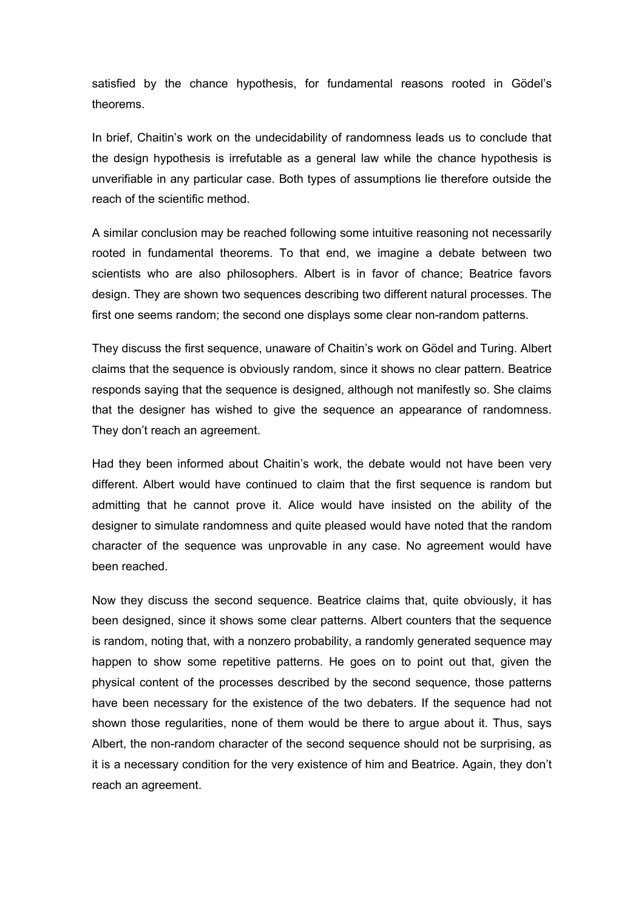satisfied by the chance hypothesis, for fundamental reasons rooted in Gödel's theorems.

In brief, Chaitin's work on the undecidability of randomness leads us to conclude that the design hypothesis is irrefutable as a general law while the chance hypothesis is unverifiable in any particular case. Both types of assumptions lie therefore outside the reach of the scientific method.

A similar conclusion may be reached following some intuitive reasoning not necessarily rooted in fundamental theorems. To that end, we imagine a debate between two scientists who are also philosophers. Albert is in favor of chance; Beatrice favors design. They are shown two sequences describing two different natural processes. The first one seems random; the second one displays some clear non-random patterns.

They discuss the first sequence, unaware of Chaitin's work on Gödel and Turing. Albert claims that the sequence is obviously random, since it shows no clear pattern. Beatrice responds saying that the sequence is designed, although not manifestly so. She claims that the designer has wished to give the sequence an appearance of randomness. They don't reach an agreement.

Had they been informed about Chaitin's work, the debate would not have been very different. Albert would have continued to claim that the first sequence is random but admitting that he cannot prove it. Alice would have insisted on the ability of the designer to simulate randomness and quite pleased would have noted that the random character of the sequence was unprovable in any case. No agreement would have been reached.

Now they discuss the second sequence. Beatrice claims that, quite obviously, it has been designed, since it shows some clear patterns. Albert counters that the sequence is random, noting that, with a nonzero probability, a randomly generated sequence may happen to show some repetitive patterns. He goes on to point out that, given the physical content of the processes described by the second sequence, those patterns have been necessary for the existence of the two debaters. If the sequence had not shown those regularities, none of them would be there to argue about it. Thus, says Albert, the non-random character of the second sequence should not be surprising, as it is a necessary condition for the very existence of him and Beatrice. Again, they don't reach an agreement.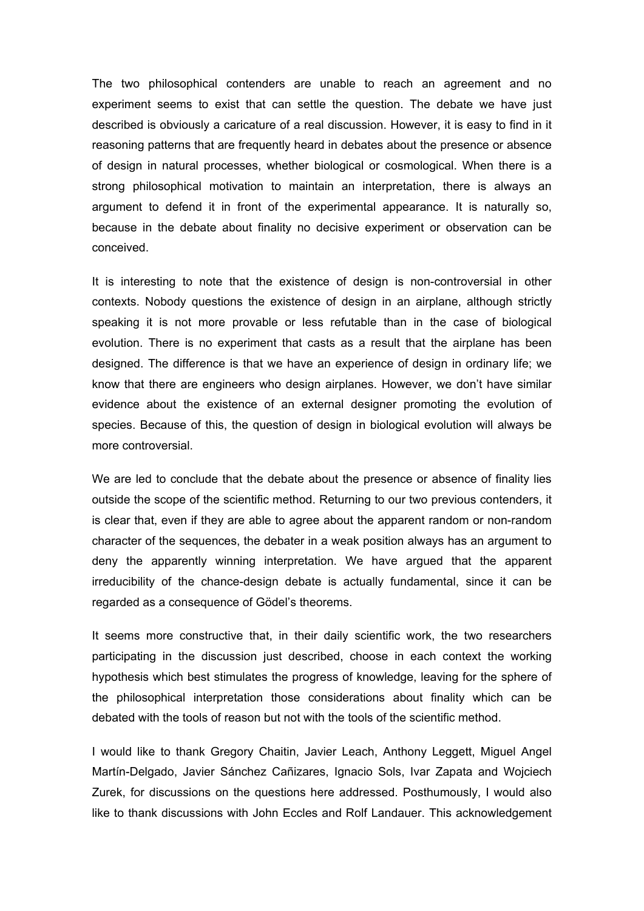The two philosophical contenders are unable to reach an agreement and no experiment seems to exist that can settle the question. The debate we have just described is obviously a caricature of a real discussion. However, it is easy to find in it reasoning patterns that are frequently heard in debates about the presence or absence of design in natural processes, whether biological or cosmological. When there is a strong philosophical motivation to maintain an interpretation, there is always an argument to defend it in front of the experimental appearance. It is naturally so, because in the debate about finality no decisive experiment or observation can be conceived.

It is interesting to note that the existence of design is non-controversial in other contexts. Nobody questions the existence of design in an airplane, although strictly speaking it is not more provable or less refutable than in the case of biological evolution. There is no experiment that casts as a result that the airplane has been designed. The difference is that we have an experience of design in ordinary life; we know that there are engineers who design airplanes. However, we don't have similar evidence about the existence of an external designer promoting the evolution of species. Because of this, the question of design in biological evolution will always be more controversial.

We are led to conclude that the debate about the presence or absence of finality lies outside the scope of the scientific method. Returning to our two previous contenders, it is clear that, even if they are able to agree about the apparent random or non-random character of the sequences, the debater in a weak position always has an argument to deny the apparently winning interpretation. We have argued that the apparent irreducibility of the chance-design debate is actually fundamental, since it can be regarded as a consequence of Gödel's theorems.

It seems more constructive that, in their daily scientific work, the two researchers participating in the discussion just described, choose in each context the working hypothesis which best stimulates the progress of knowledge, leaving for the sphere of the philosophical interpretation those considerations about finality which can be debated with the tools of reason but not with the tools of the scientific method.

I would like to thank Gregory Chaitin, Javier Leach, Anthony Leggett, Miguel Angel Martín-Delgado, Javier Sánchez Cañizares, Ignacio Sols, Ivar Zapata and Wojciech Zurek, for discussions on the questions here addressed. Posthumously, I would also like to thank discussions with John Eccles and Rolf Landauer. This acknowledgement